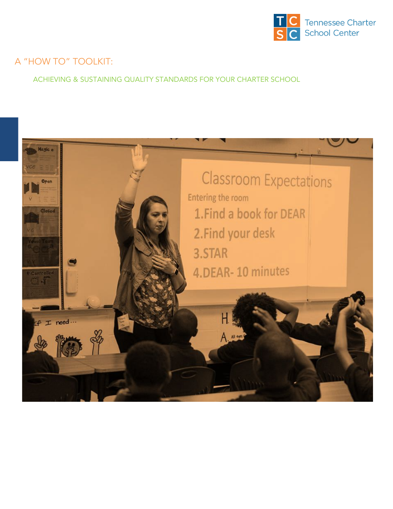

## A "HOW TO" TOOLKIT:

ACHIEVING & SUSTAINING QUALITY STANDARDS FOR YOUR CHARTER SCHOOL

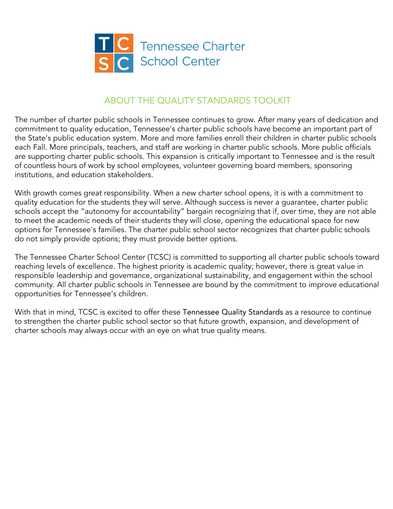

### ABOUT THE QUALITY STANDARDS TOOLKIT

The number of charter public schools in Tennessee continues to grow. After many years of dedication and commitment to quality education, Tennessee's charter public schools have become an important part of the State's public education system. More and more families enroll their children in charter public schools each Fall. More principals, teachers, and staff are working in charter public schools. More public officials are supporting charter public schools. This expansion is critically important to Tennessee and is the result of countless hours of work by school employees, volunteer governing board members, sponsoring institutions, and education stakeholders.

With growth comes great responsibility. When a new charter school opens, it is with a commitment to quality education for the students they will serve. Although success is never a guarantee, charter public schools accept the "autonomy for accountability" bargain recognizing that if, over time, they are not able to meet the academic needs of their students they will close, opening the educational space for new options for Tennessee's families. The charter public school sector recognizes that charter public schools do not simply provide options; they must provide better options.

The Tennessee Charter School Center (TCSC) is committed to supporting all charter public schools toward reaching levels of excellence. The highest priority is academic quality; however, there is great value in responsible leadership and governance, organizational sustainability, and engagement within the school community. All charter public schools in Tennessee are bound by the commitment to improve educational opportunities for Tennessee's children.

With that in mind, TCSC is excited to offer these Tennessee Quality Standards as a resource to continue to strengthen the charter public school sector so that future growth, expansion, and development of charter schools may always occur with an eye on what true quality means.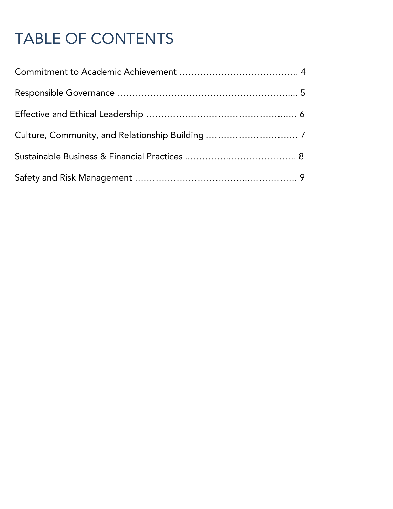# TABLE OF CONTENTS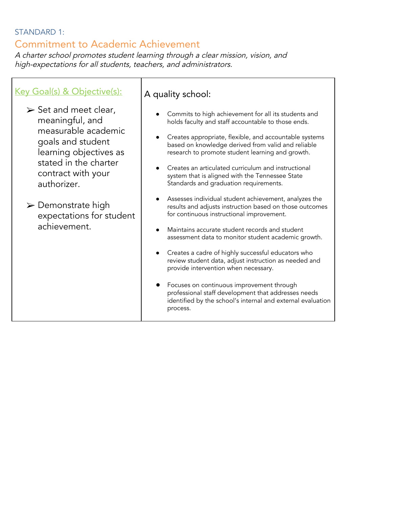#### STANDARD 1:

## Commitment to Academic Achievement

<sup>A</sup> charter school promotes student learning through <sup>a</sup> clear mission, vision, and high-expectations for all students, teachers, and administrators.

#### Key Goal(s) & Objective(s):

 $\triangleright$  Set and meet clear, meaningful, and measurable academic goals and student learning objectives as stated in the charter contract with your authorizer.

 $\triangleright$  Demonstrate high expectations for student achievement.

#### A quality school:

- Commits to high achievement for all its students and holds faculty and staff accountable to those ends.
- Creates appropriate, flexible, and accountable systems based on knowledge derived from valid and reliable research to promote student learning and growth.
- Creates an articulated curriculum and instructional system that is aligned with the Tennessee State Standards and graduation requirements.
- Assesses individual student achievement, analyzes the results and adjusts instruction based on those outcomes for continuous instructional improvement.
- Maintains accurate student records and student assessment data to monitor student academic growth.
- Creates a cadre of highly successful educators who review student data, adjust instruction as needed and provide intervention when necessary.
- Focuses on continuous improvement through professional staff development that addresses needs identified by the school's internal and external evaluation process.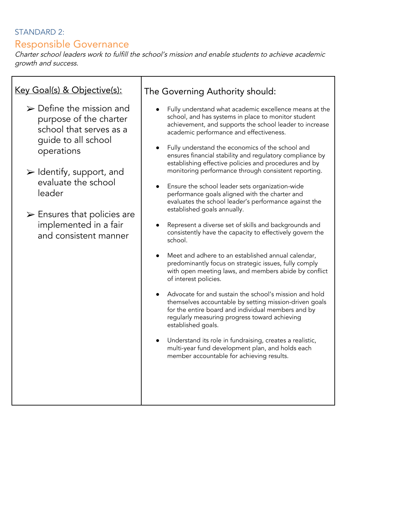#### STANDARD 2:

## Responsible Governance

Key Goal(s) & Objective(s):

Charter school leaders work to fulfill the school's mission and enable students to achieve academic growth and success.

The Governing Authority should: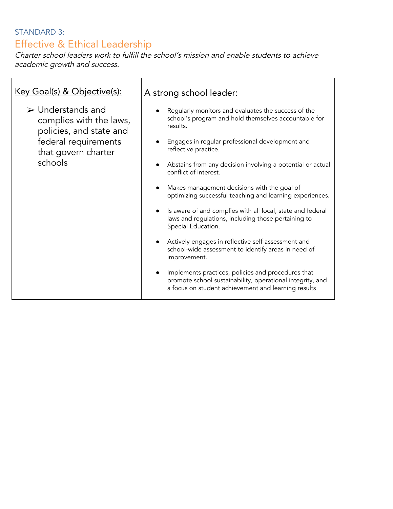## STANDARD 3: Effective & Ethical Leadership

Charter school leaders work to fulfill the school's mission and enable students to achieve academic growth and success.

| Key Goal(s) & Objective(s):                                                                                                                      | A strong school leader:                                                                                                                                                                            |
|--------------------------------------------------------------------------------------------------------------------------------------------------|----------------------------------------------------------------------------------------------------------------------------------------------------------------------------------------------------|
| $\triangleright$ Understands and<br>complies with the laws,<br>policies, and state and<br>federal requirements<br>that govern charter<br>schools | Regularly monitors and evaluates the success of the<br>school's program and hold themselves accountable for<br>results.<br>Engages in regular professional development and<br>reflective practice. |
|                                                                                                                                                  | Abstains from any decision involving a potential or actual<br>conflict of interest.                                                                                                                |
|                                                                                                                                                  | Makes management decisions with the goal of<br>$\bullet$<br>optimizing successful teaching and learning experiences.                                                                               |
|                                                                                                                                                  | Is aware of and complies with all local, state and federal<br>laws and regulations, including those pertaining to<br>Special Education.                                                            |
|                                                                                                                                                  | Actively engages in reflective self-assessment and<br>school-wide assessment to identify areas in need of<br>improvement.                                                                          |
|                                                                                                                                                  | Implements practices, policies and procedures that<br>promote school sustainability, operational integrity, and<br>a focus on student achievement and learning results                             |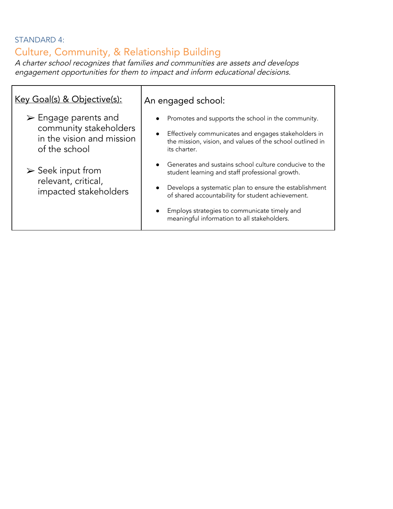#### STANDARD 4:

## Culture, Community, & Relationship Building

<sup>A</sup> charter school recognizes that families and communities are assets and develops engagement opportunities for them to impact and inform educational decisions.

| <u>Key Goal(s) &amp; Objective(s):</u>                                                                                                                                                          | An engaged school:                                                                                                                                                                                                                                                                                                                                                                                                                                                                                                                                                     |
|-------------------------------------------------------------------------------------------------------------------------------------------------------------------------------------------------|------------------------------------------------------------------------------------------------------------------------------------------------------------------------------------------------------------------------------------------------------------------------------------------------------------------------------------------------------------------------------------------------------------------------------------------------------------------------------------------------------------------------------------------------------------------------|
| $\triangleright$ Engage parents and<br>community stakeholders<br>in the vision and mission<br>of the school<br>$\triangleright$ Seek input from<br>relevant, critical,<br>impacted stakeholders | Promotes and supports the school in the community.<br>$\bullet$<br>Effectively communicates and engages stakeholders in<br>$\bullet$<br>the mission, vision, and values of the school outlined in<br>its charter.<br>Generates and sustains school culture conducive to the<br>$\bullet$<br>student learning and staff professional growth.<br>Develops a systematic plan to ensure the establishment<br>of shared accountability for student achievement.<br>Employs strategies to communicate timely and<br>$\bullet$<br>meaningful information to all stakeholders. |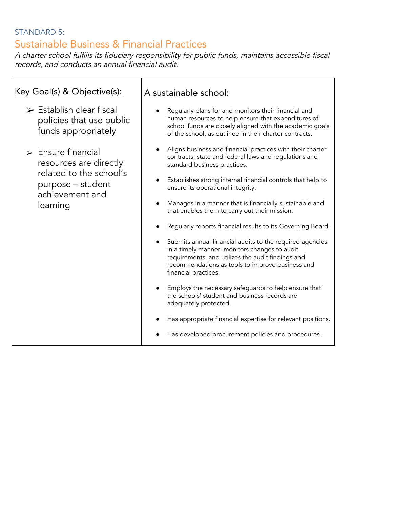## STANDARD 5: Sustainable Business & Financial Practices

<sup>A</sup> charter school fulfills its fiduciary responsibility for public funds, maintains accessible fiscal records, and conducts an annual financial audit.

 $\overline{\phantom{a}}$ 

| <u>Key Goal(s) &amp; Objective(s):</u>                                                                                                     | A sustainable school:                                                                                                                                                                                                                      |
|--------------------------------------------------------------------------------------------------------------------------------------------|--------------------------------------------------------------------------------------------------------------------------------------------------------------------------------------------------------------------------------------------|
| $\triangleright$ Establish clear fiscal<br>policies that use public<br>funds appropriately                                                 | Regularly plans for and monitors their financial and<br>human resources to help ensure that expenditures of<br>school funds are closely aligned with the academic goals<br>of the school, as outlined in their charter contracts.          |
| $\triangleright$ Ensure financial<br>resources are directly<br>related to the school's<br>purpose - student<br>achievement and<br>learning | Aligns business and financial practices with their charter<br>$\bullet$<br>contracts, state and federal laws and regulations and<br>standard business practices.                                                                           |
|                                                                                                                                            | Establishes strong internal financial controls that help to<br>ensure its operational integrity.                                                                                                                                           |
|                                                                                                                                            | Manages in a manner that is financially sustainable and<br>that enables them to carry out their mission.                                                                                                                                   |
|                                                                                                                                            | Regularly reports financial results to its Governing Board.                                                                                                                                                                                |
|                                                                                                                                            | Submits annual financial audits to the required agencies<br>in a timely manner, monitors changes to audit<br>requirements, and utilizes the audit findings and<br>recommendations as tools to improve business and<br>financial practices. |
|                                                                                                                                            | Employs the necessary safeguards to help ensure that<br>the schools' student and business records are<br>adequately protected.                                                                                                             |
|                                                                                                                                            | Has appropriate financial expertise for relevant positions.                                                                                                                                                                                |
|                                                                                                                                            | Has developed procurement policies and procedures.                                                                                                                                                                                         |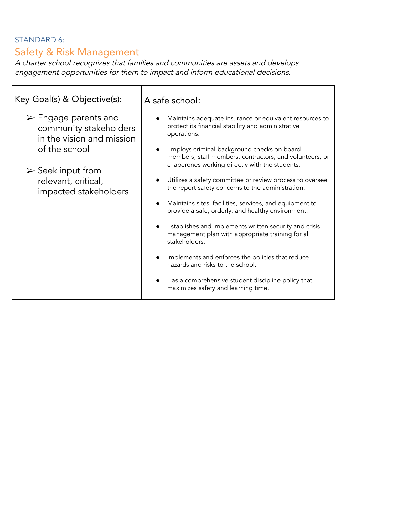## STANDARD 6: Safety & Risk Management

<sup>A</sup> charter school recognizes that families and communities are assets and develops engagement opportunities for them to impact and inform educational decisions.

| Key Goal(s) & Objective(s):                                                                                                                                                                     | A safe school:                                                                                                                                                                                                                                                                                                                                                                                                                                                                                                                                                                                                                                                                                                                                                                                                                                 |
|-------------------------------------------------------------------------------------------------------------------------------------------------------------------------------------------------|------------------------------------------------------------------------------------------------------------------------------------------------------------------------------------------------------------------------------------------------------------------------------------------------------------------------------------------------------------------------------------------------------------------------------------------------------------------------------------------------------------------------------------------------------------------------------------------------------------------------------------------------------------------------------------------------------------------------------------------------------------------------------------------------------------------------------------------------|
| $\triangleright$ Engage parents and<br>community stakeholders<br>in the vision and mission<br>of the school<br>$\triangleright$ Seek input from<br>relevant, critical,<br>impacted stakeholders | Maintains adequate insurance or equivalent resources to<br>protect its financial stability and administrative<br>operations.<br>Employs criminal background checks on board<br>members, staff members, contractors, and volunteers, or<br>chaperones working directly with the students.<br>Utilizes a safety committee or review process to oversee<br>the report safety concerns to the administration.<br>Maintains sites, facilities, services, and equipment to<br>provide a safe, orderly, and healthy environment.<br>Establishes and implements written security and crisis<br>management plan with appropriate training for all<br>stakeholders.<br>Implements and enforces the policies that reduce<br>hazards and risks to the school.<br>Has a comprehensive student discipline policy that<br>maximizes safety and learning time. |